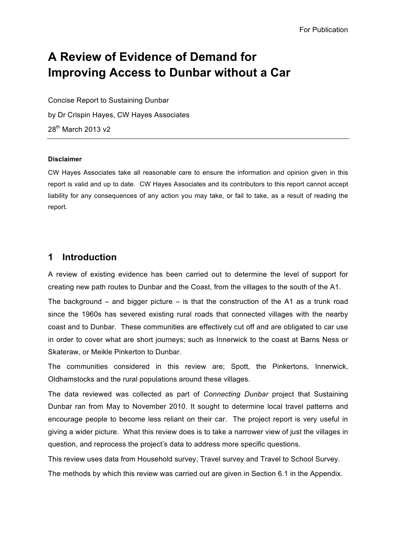# **A Review of Evidence of Demand for Improving Access to Dunbar without a Car**

Concise Report to Sustaining Dunbar by Dr Crispin Hayes, CW Hayes Associates 28th March 2013 v2

#### **Disclaimer**

CW Hayes Associates take all reasonable care to ensure the information and opinion given in this report is valid and up to date. CW Hayes Associates and its contributors to this report cannot accept liability for any consequences of any action you may take, or fail to take, as a result of reading the report.

# **1 Introduction**

A review of existing evidence has been carried out to determine the level of support for creating new path routes to Dunbar and the Coast, from the villages to the south of the A1.

The background – and bigger picture – is that the construction of the A1 as a trunk road since the 1960s has severed existing rural roads that connected villages with the nearby coast and to Dunbar. These communities are effectively cut off and are obligated to car use in order to cover what are short journeys; such as Innerwick to the coast at Barns Ness or Skateraw, or Meikle Pinkerton to Dunbar.

The communities considered in this review are; Spott, the Pinkertons, Innerwick, Oldhamstocks and the rural populations around these villages.

The data reviewed was collected as part of *Connecting Dunbar* project that Sustaining Dunbar ran from May to November 2010. It sought to determine local travel patterns and encourage people to become less reliant on their car. The project report is very useful in giving a wider picture. What this review does is to take a narrower view of just the villages in question, and reprocess the project's data to address more specific questions.

This review uses data from Household survey, Travel survey and Travel to School Survey.

The methods by which this review was carried out are given in Section 6.1 in the Appendix.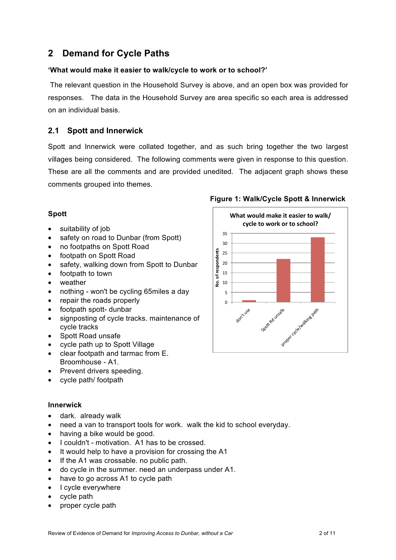# **2 Demand for Cycle Paths**

#### **'What would make it easier to walk/cycle to work or to school?'**

 The relevant question in the Household Survey is above, and an open box was provided for responses. The data in the Household Survey are area specific so each area is addressed on an individual basis.

### **2.1 Spott and Innerwick**

Spott and Innerwick were collated together, and as such bring together the two largest villages being considered. The following comments were given in response to this question. These are all the comments and are provided unedited. The adjacent graph shows these comments grouped into themes.

### **Spott**

- suitability of job
- safety on road to Dunbar (from Spott)
- no footpaths on Spott Road
- footpath on Spott Road
- safety, walking down from Spott to Dunbar
- footpath to town
- weather
- ∑ nothing won't be cycling 65miles a day
- repair the roads properly
- footpath spott- dunbar
- ∑ signposting of cycle tracks. maintenance of cycle tracks
- Spott Road unsafe
- cycle path up to Spott Village
- clear footpath and tarmac from E. Broomhouse - A1.
- Prevent drivers speeding.
- ∑ cycle path/ footpath

#### **Innerwick**

- dark. already walk
- need a van to transport tools for work. walk the kid to school everyday.
- having a bike would be good.
- ∑ I couldn't motivation. A1 has to be crossed.
- It would help to have a provision for crossing the A1
- If the A1 was crossable. no public path.
- do cycle in the summer. need an underpass under A1.
- have to go across A1 to cycle path
- I cycle everywhere
- ∑ cycle path
- proper cycle path

### **Figure 1: Walk/Cycle Spott & Innerwick**

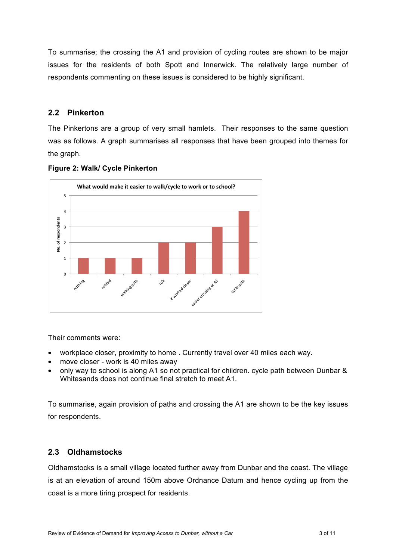To summarise; the crossing the A1 and provision of cycling routes are shown to be major issues for the residents of both Spott and Innerwick. The relatively large number of respondents commenting on these issues is considered to be highly significant.

### **2.2 Pinkerton**

The Pinkertons are a group of very small hamlets. Their responses to the same question was as follows. A graph summarises all responses that have been grouped into themes for the graph.



#### **Figure 2: Walk/ Cycle Pinkerton**

Their comments were:

- ∑ workplace closer, proximity to home . Currently travel over 40 miles each way.
- move closer work is 40 miles away
- only way to school is along A1 so not practical for children. cycle path between Dunbar & Whitesands does not continue final stretch to meet A1.

To summarise, again provision of paths and crossing the A1 are shown to be the key issues for respondents.

### **2.3 Oldhamstocks**

Oldhamstocks is a small village located further away from Dunbar and the coast. The village is at an elevation of around 150m above Ordnance Datum and hence cycling up from the coast is a more tiring prospect for residents.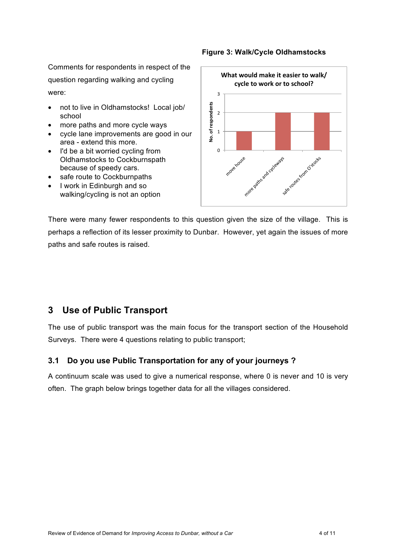Comments for respondents in respect of the question regarding walking and cycling were:

- not to live in Oldhamstocks! Local job/ school
- more paths and more cycle ways
- ∑ cycle lane improvements are good in our area - extend this more.
- I'd be a bit worried cycling from Oldhamstocks to Cockburnspath because of speedy cars.
- safe route to Cockburnpaths
- ∑ I work in Edinburgh and so walking/cycling is not an option

#### **Figure 3: Walk/Cycle Oldhamstocks**



There were many fewer respondents to this question given the size of the village. This is perhaps a reflection of its lesser proximity to Dunbar. However, yet again the issues of more paths and safe routes is raised.

# **3 Use of Public Transport**

The use of public transport was the main focus for the transport section of the Household Surveys. There were 4 questions relating to public transport;

### **3.1 Do you use Public Transportation for any of your journeys ?**

A continuum scale was used to give a numerical response, where 0 is never and 10 is very often. The graph below brings together data for all the villages considered.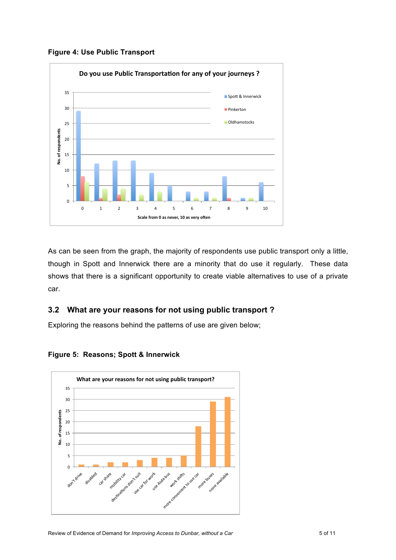**Figure 4: Use Public Transport**



As can be seen from the graph, the majority of respondents use public transport only a little, though in Spott and Innerwick there are a minority that do use it regularly. These data shows that there is a significant opportunity to create viable alternatives to use of a private car.

## **3.2 What are your reasons for not using public transport ?**

Exploring the reasons behind the patterns of use are given below;



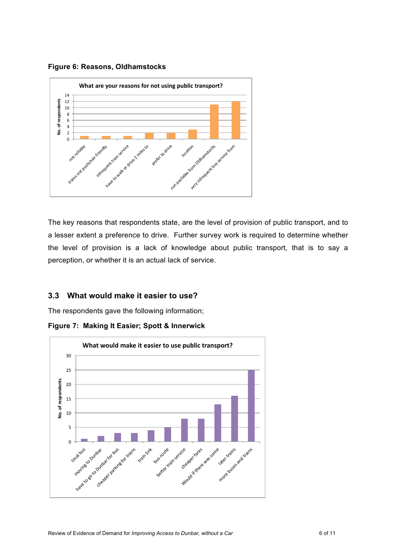**Figure 6: Reasons, Oldhamstocks**



The key reasons that respondents state, are the level of provision of public transport, and to a lesser extent a preference to drive. Further survey work is required to determine whether the level of provision is a lack of knowledge about public transport, that is to say a perception, or whether it is an actual lack of service.

### **3.3 What would make it easier to use?**

The respondents gave the following information;



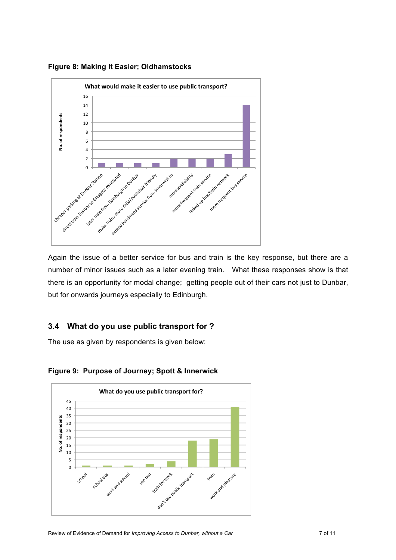**Figure 8: Making It Easier; Oldhamstocks**



Again the issue of a better service for bus and train is the key response, but there are a number of minor issues such as a later evening train. What these responses show is that there is an opportunity for modal change; getting people out of their cars not just to Dunbar, but for onwards journeys especially to Edinburgh.

### **3.4 What do you use public transport for ?**

The use as given by respondents is given below;



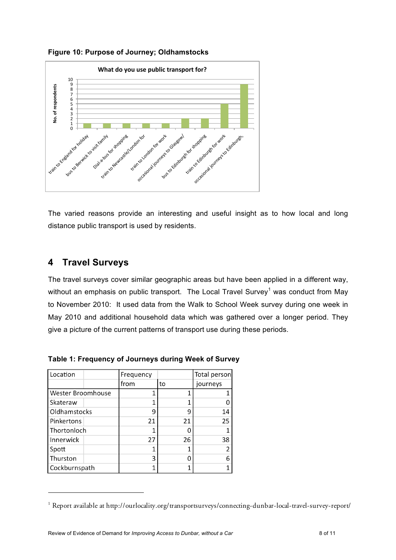**Figure 10: Purpose of Journey; Oldhamstocks**



The varied reasons provide an interesting and useful insight as to how local and long distance public transport is used by residents.

# **4 Travel Surveys**

The travel surveys cover similar geographic areas but have been applied in a different way, without an emphasis on public transport. The Local Travel Survey<sup>1</sup> was conduct from May to November 2010: It used data from the Walk to School Week survey during one week in May 2010 and additional household data which was gathered over a longer period. They give a picture of the current patterns of transport use during these periods.

| Location          |  | Frequency |    | Total person |
|-------------------|--|-----------|----|--------------|
|                   |  | from      | to | journeys     |
| Wester Broomhouse |  | 1         |    |              |
| l Skateraw        |  |           |    |              |
| Oldhamstocks      |  | ٩         | ٩  | 14           |
| Pinkertons        |  | 21        | 21 | 25           |
| Thortonloch       |  |           |    |              |
| Innerwick         |  | 27        | 26 | 38           |
| Spott             |  |           |    | 2            |
| Thurston          |  | 3         |    | 6            |
| Cockburnspath     |  |           |    |              |

**Table 1: Frequency of Journeys during Week of Survey**

<sup>1</sup> Report available at http://ourlocality.org/transportsurveys/connecting-dunbar-local-travel-survey-report/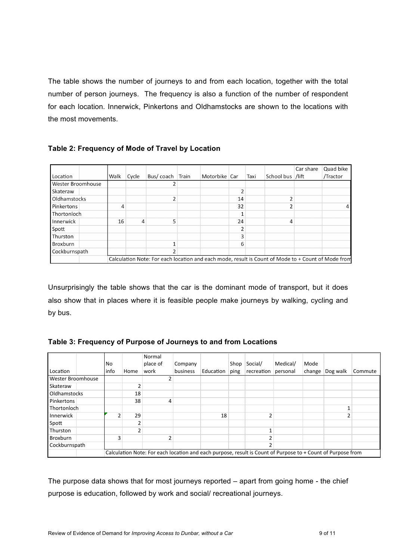The table shows the number of journeys to and from each location, together with the total number of person journeys. The frequency is also a function of the number of respondent for each location. Innerwick, Pinkertons and Oldhamstocks are shown to the locations with the most movements.

| Table 2: Frequency of Mode of Travel by Location |  |  |  |
|--------------------------------------------------|--|--|--|
|--------------------------------------------------|--|--|--|

|                                                                                                    |      |       |                 |  |               |    |      |                  | Car share | Quad bike |
|----------------------------------------------------------------------------------------------------|------|-------|-----------------|--|---------------|----|------|------------------|-----------|-----------|
| Location                                                                                           | Walk | Cycle | Bus/coach Train |  | Motorbike Car |    | Taxi | School bus /lift |           | /Tractor  |
| Wester Broomhouse                                                                                  |      |       |                 |  |               |    |      |                  |           |           |
| Skateraw                                                                                           |      |       |                 |  |               |    |      |                  |           |           |
| Oldhamstocks                                                                                       |      |       |                 |  |               | 14 |      |                  |           |           |
| Pinkertons                                                                                         | 4    |       |                 |  |               | 32 |      |                  |           | 4         |
| Thortonloch                                                                                        |      |       |                 |  |               |    |      |                  |           |           |
| Innerwick                                                                                          | 16   | 4     | 5               |  |               | 24 |      | 4                |           |           |
| Spott                                                                                              |      |       |                 |  |               |    |      |                  |           |           |
| l Thurston                                                                                         |      |       |                 |  |               |    |      |                  |           |           |
| <b>Broxburn</b>                                                                                    |      |       |                 |  |               | 6  |      |                  |           |           |
| Cockburnspath                                                                                      |      |       |                 |  |               |    |      |                  |           |           |
| Calculation Note: For each location and each mode, result is Count of Mode to + Count of Mode from |      |       |                 |  |               |    |      |                  |           |           |

Unsurprisingly the table shows that the car is the dominant mode of transport, but it does also show that in places where it is feasible people make journeys by walking, cycling and by bus.

|  |  |  | Table 3: Frequency of Purpose of Journeys to and from Locations |
|--|--|--|-----------------------------------------------------------------|
|--|--|--|-----------------------------------------------------------------|

|                          |      |                                                                                                             | Normal   |          |           |      |            |          |        |          |         |
|--------------------------|------|-------------------------------------------------------------------------------------------------------------|----------|----------|-----------|------|------------|----------|--------|----------|---------|
|                          | No.  |                                                                                                             | place of | Company  |           | Shop | Social/    | Medical/ | Mode   |          |         |
| Location                 | info | Home                                                                                                        | work     | business | Education | ping | recreation | personal | change | Dog walk | Commute |
| <b>Wester Broomhouse</b> |      |                                                                                                             |          |          |           |      |            |          |        |          |         |
| Skateraw                 |      | 2                                                                                                           |          |          |           |      |            |          |        |          |         |
| <b>Oldhamstocks</b>      |      | 18                                                                                                          |          |          |           |      |            |          |        |          |         |
| Pinkertons               |      | 38                                                                                                          | 4        |          |           |      |            |          |        |          |         |
| <b>Thortonloch</b>       |      |                                                                                                             |          |          |           |      |            |          |        |          |         |
| Innerwick                |      | 29                                                                                                          |          |          | 18        |      |            |          |        |          |         |
| Spott                    |      | $\overline{a}$                                                                                              |          |          |           |      |            |          |        |          |         |
| Thurston                 |      | 2                                                                                                           |          |          |           |      |            |          |        |          |         |
| Broxburn                 | 3    |                                                                                                             |          |          |           |      |            |          |        |          |         |
| Cockburnspath            |      |                                                                                                             |          |          |           |      |            |          |        |          |         |
|                          |      | Calculation Note: For each location and each purpose, result is Count of Purpose to + Count of Purpose from |          |          |           |      |            |          |        |          |         |

The purpose data shows that for most journeys reported – apart from going home - the chief purpose is education, followed by work and social/ recreational journeys.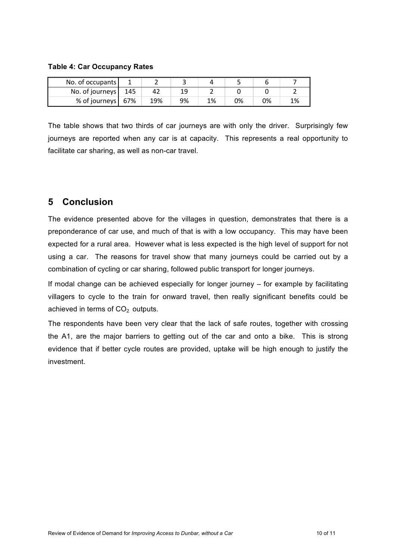**Table 4: Car Occupancy Rates**

| No. of occupants  |     |     |    |    |    |    |    |
|-------------------|-----|-----|----|----|----|----|----|
| No. of journeys   | 145 |     |    |    |    |    |    |
| % of journeys 67% |     | 19% | 9% | 1% | 0% | 0% | 1% |

The table shows that two thirds of car journeys are with only the driver. Surprisingly few journeys are reported when any car is at capacity. This represents a real opportunity to facilitate car sharing, as well as non-car travel.

# **5 Conclusion**

The evidence presented above for the villages in question, demonstrates that there is a preponderance of car use, and much of that is with a low occupancy. This may have been expected for a rural area. However what is less expected is the high level of support for not using a car. The reasons for travel show that many journeys could be carried out by a combination of cycling or car sharing, followed public transport for longer journeys.

If modal change can be achieved especially for longer journey – for example by facilitating villagers to cycle to the train for onward travel, then really significant benefits could be achieved in terms of  $CO<sub>2</sub>$  outputs.

The respondents have been very clear that the lack of safe routes, together with crossing the A1, are the major barriers to getting out of the car and onto a bike. This is strong evidence that if better cycle routes are provided, uptake will be high enough to justify the investment.